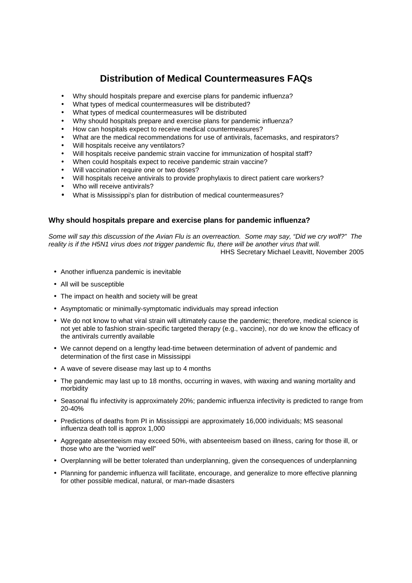# **Distribution of Medical Countermeasures FAQs**

- Why should hospitals prepare and exercise plans for pandemic influenza?
- What types of medical countermeasures will be distributed?
- What types of medical countermeasures will be distributed
- Why should hospitals prepare and exercise plans for pandemic influenza?
- How can hospitals expect to receive medical countermeasures?
- What are the medical recommendations for use of antivirals, facemasks, and respirators?
- Will hospitals receive any ventilators?
- Will hospitals receive pandemic strain vaccine for immunization of hospital staff?
- When could hospitals expect to receive pandemic strain vaccine?
- Will vaccination require one or two doses?
- Will hospitals receive antivirals to provide prophylaxis to direct patient care workers?
- Who will receive antivirals?
- What is Mississippi's plan for distribution of medical countermeasures?

# **Why should hospitals prepare and exercise plans for pandemic influenza?**

Some will say this discussion of the Avian Flu is an overreaction. Some may say, "Did we cry wolf?" The reality is if the H5N1 virus does not trigger pandemic flu, there will be another virus that will. HHS Secretary Michael Leavitt, November 2005

- Another influenza pandemic is inevitable
- All will be susceptible
- The impact on health and society will be great
- Asymptomatic or minimally-symptomatic individuals may spread infection
- We do not know to what viral strain will ultimately cause the pandemic; therefore, medical science is not yet able to fashion strain-specific targeted therapy (e.g., vaccine), nor do we know the efficacy of the antivirals currently available
- We cannot depend on a lengthy lead-time between determination of advent of pandemic and determination of the first case in Mississippi
- A wave of severe disease may last up to 4 months
- The pandemic may last up to 18 months, occurring in waves, with waxing and waning mortality and morbidity
- Seasonal flu infectivity is approximately 20%; pandemic influenza infectivity is predicted to range from 20-40%
- Predictions of deaths from PI in Mississippi are approximately 16,000 individuals; MS seasonal influenza death toll is approx 1,000
- Aggregate absenteeism may exceed 50%, with absenteeism based on illness, caring for those ill, or those who are the "worried well"
- Overplanning will be better tolerated than underplanning, given the consequences of underplanning
- Planning for pandemic influenza will facilitate, encourage, and generalize to more effective planning for other possible medical, natural, or man-made disasters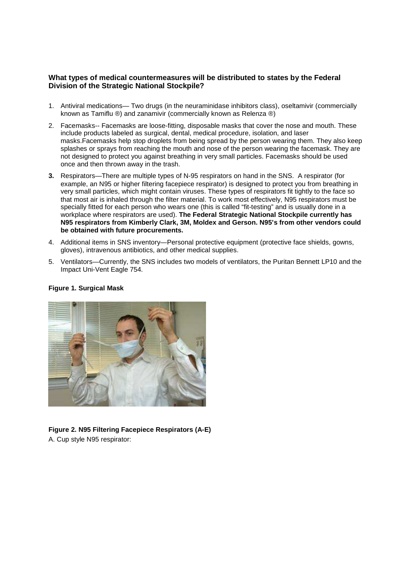## **What types of medical countermeasures will be distributed to states by the Federal Division of the Strategic National Stockpile?**

- 1. Antiviral medications— Two drugs (in the neuraminidase inhibitors class), oseltamivir (commercially known as Tamiflu ®) and zanamivir (commercially known as Relenza ®)
- 2. Facemasks-- Facemasks are loose-fitting, disposable masks that cover the nose and mouth. These include products labeled as surgical, dental, medical procedure, isolation, and laser masks.Facemasks help stop droplets from being spread by the person wearing them. They also keep splashes or sprays from reaching the mouth and nose of the person wearing the facemask. They are not designed to protect you against breathing in very small particles. Facemasks should be used once and then thrown away in the trash.
- **3.** Respirators—There are multiple types of N-95 respirators on hand in the SNS. A respirator (for example, an N95 or higher filtering facepiece respirator) is designed to protect you from breathing in very small particles, which might contain viruses. These types of respirators fit tightly to the face so that most air is inhaled through the filter material. To work most effectively, N95 respirators must be specially fitted for each person who wears one (this is called "fit-testing" and is usually done in a workplace where respirators are used). **The Federal Strategic National Stockpile currently has N95 respirators from Kimberly Clark, 3M, Moldex and Gerson. N95's from other vendors could be obtained with future procurements.**
- 4. Additional items in SNS inventory—Personal protective equipment (protective face shields, gowns, gloves), intravenous antibiotics, and other medical supplies.
- 5. Ventilators—Currently, the SNS includes two models of ventilators, the Puritan Bennett LP10 and the Impact Uni-Vent Eagle 754.



# **Figure 1. Surgical Mask**

**Figure 2. N95 Filtering Facepiece Respirators (A-E)** A. Cup style N95 respirator: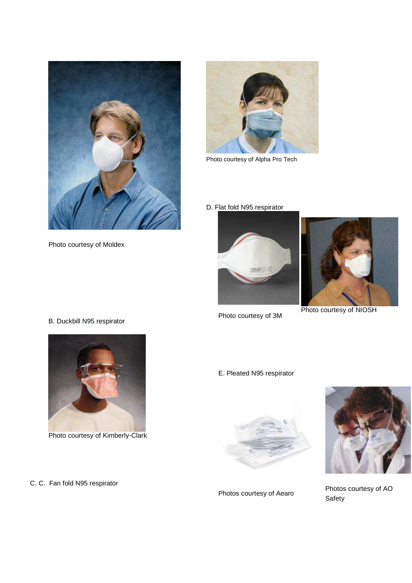

Photo courtesy of Moldex



Photo courtesy of Alpha Pro Tech

D. Flat fold N95 respirator



Photo courtesy of 3M



Photo courtesy of NIOSH





Photo courtesy of Kimberly-Clark

C. C. Fan fold N95 respirator







Photos courtesy of Aearo<br>
Contable Photos courtesy of Aearo Safety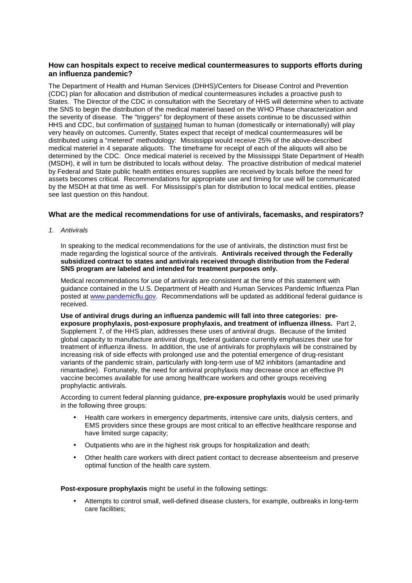## **How can hospitals expect to receive medical countermeasures to supports efforts during an influenza pandemic?**

The Department of Health and Human Services (DHHS)/Centers for Disease Control and Prevention (CDC) plan for allocation and distribution of medical countermeasures includes a proactive push to States. The Director of the CDC in consultation with the Secretary of HHS will determine when to activate the SNS to begin the distribution of the medical materiel based on the WHO Phase characterization and the severity of disease. The "triggers" for deployment of these assets continue to be discussed within HHS and CDC, but confirmation of sustained human to human (domestically or internationally) will play very heavily on outcomes. Currently, States expect that receipt of medical countermeasures will be distributed using a "metered" methodology: Mississippi would receive 25% of the above-described medical materiel in 4 separate aliquots. The timeframe for receipt of each of the aliquots will also be determined by the CDC. Once medical materiel is received by the Mississippi State Department of Health (MSDH), it will in turn be distributed to locals without delay. The proactive distribution of medical materiel by Federal and State public health entities ensures supplies are received by locals before the need for assets becomes critical. Recommendations for appropriate use and timing for use will be communicated by the MSDH at that time as well. For Mississippi's plan for distribution to local medical entities, please see last question on this handout.

## **What are the medical recommendations for use of antivirals, facemasks, and respirators?**

1. Antivirals

In speaking to the medical recommendations for the use of antivirals, the distinction must first be made regarding the logistical source of the antivirals. **Antivirals received through the Federally subsidized contract to states and antivirals received through distribution from the Federal SNS program are labeled and intended for treatment purposes only.**

Medical recommendations for use of antivirals are consistent at the time of this statement with guidance contained in the U.S. Department of Health and Human Services Pandemic Influenza Plan posted at www.pandemicflu.gov. Recommendations will be updated as additional federal guidance is received.

**Use of antiviral drugs during an influenza pandemic will fall into three categories: preexposure prophylaxis, post-exposure prophylaxis, and treatment of influenza illness.** Part 2, Supplement 7, of the HHS plan, addresses these uses of antiviral drugs. Because of the limited global capacity to manufacture antiviral drugs, federal guidance currently emphasizes their use for treatment of influenza illness. In addition, the use of antivirals for prophylaxis will be constrained by increasing risk of side effects with prolonged use and the potential emergence of drug-resistant variants of the pandemic strain, particularly with long-term use of M2 inhibitors (amantadine and rimantadine). Fortunately, the need for antiviral prophylaxis may decrease once an effective PI vaccine becomes available for use among healthcare workers and other groups receiving prophylactic antivirals.

According to current federal planning guidance, **pre-exposure prophylaxis** would be used primarily in the following three groups:

- Health care workers in emergency departments, intensive care units, dialysis centers, and EMS providers since these groups are most critical to an effective healthcare response and have limited surge capacity;
- Outpatients who are in the highest risk groups for hospitalization and death;
- Other health care workers with direct patient contact to decrease absenteeism and preserve optimal function of the health care system.

**Post-exposure prophylaxis** might be useful in the following settings:

• Attempts to control small, well-defined disease clusters, for example, outbreaks in long-term care facilities;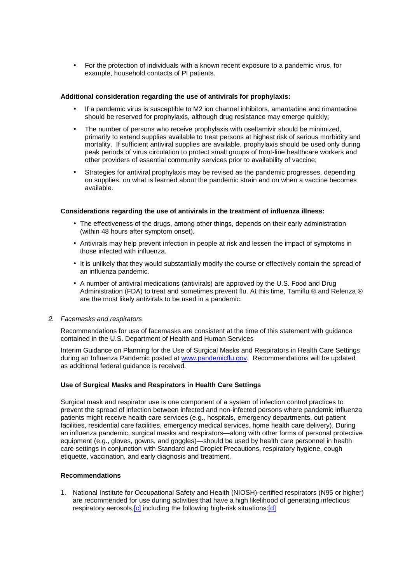• For the protection of individuals with a known recent exposure to a pandemic virus, for example, household contacts of PI patients.

#### **Additional consideration regarding the use of antivirals for prophylaxis:**

- If a pandemic virus is susceptible to M2 ion channel inhibitors, amantadine and rimantadine should be reserved for prophylaxis, although drug resistance may emerge quickly;
- The number of persons who receive prophylaxis with oseltamivir should be minimized, primarily to extend supplies available to treat persons at highest risk of serious morbidity and mortality. If sufficient antiviral supplies are available, prophylaxis should be used only during peak periods of virus circulation to protect small groups of front-line healthcare workers and other providers of essential community services prior to availability of vaccine;
- Strategies for antiviral prophylaxis may be revised as the pandemic progresses, depending on supplies, on what is learned about the pandemic strain and on when a vaccine becomes available.

#### **Considerations regarding the use of antivirals in the treatment of influenza illness:**

- The effectiveness of the drugs, among other things, depends on their early administration (within 48 hours after symptom onset).
- Antivirals may help prevent infection in people at risk and lessen the impact of symptoms in those infected with influenza.
- It is unlikely that they would substantially modify the course or effectively contain the spread of an influenza pandemic.
- A number of antiviral medications (antivirals) are approved by the U.S. Food and Drug Administration (FDA) to treat and sometimes prevent flu. At this time, Tamiflu ® and Relenza ® are the most likely antivirals to be used in a pandemic.

#### 2. Facemasks and respirators

Recommendations for use of facemasks are consistent at the time of this statement with guidance contained in the U.S. Department of Health and Human Services

Interim Guidance on Planning for the Use of Surgical Masks and Respirators in Health Care Settings during an Influenza Pandemic posted at www.pandemicflu.gov. Recommendations will be updated as additional federal guidance is received.

#### **Use of Surgical Masks and Respirators in Health Care Settings**

Surgical mask and respirator use is one component of a system of infection control practices to prevent the spread of infection between infected and non-infected persons where pandemic influenza patients might receive health care services (e.g., hospitals, emergency departments, out-patient facilities, residential care facilities, emergency medical services, home health care delivery). During an influenza pandemic, surgical masks and respirators—along with other forms of personal protective equipment (e.g., gloves, gowns, and goggles)—should be used by health care personnel in health care settings in conjunction with Standard and Droplet Precautions, respiratory hygiene, cough etiquette, vaccination, and early diagnosis and treatment.

#### **Recommendations**

1. National Institute for Occupational Safety and Health (NIOSH)-certified respirators (N95 or higher) are recommended for use during activities that have a high likelihood of generating infectious respiratory aerosols, [c] including the following high-risk situations: [d]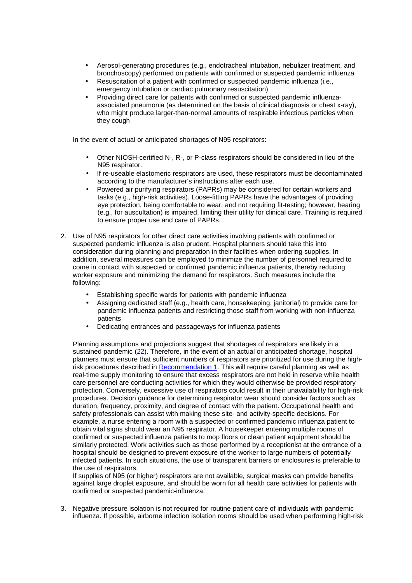- Aerosol-generating procedures (e.g., endotracheal intubation, nebulizer treatment, and bronchoscopy) performed on patients with confirmed or suspected pandemic influenza
- Resuscitation of a patient with confirmed or suspected pandemic influenza (i.e., emergency intubation or cardiac pulmonary resuscitation)
- Providing direct care for patients with confirmed or suspected pandemic influenzaassociated pneumonia (as determined on the basis of clinical diagnosis or chest x-ray), who might produce larger-than-normal amounts of respirable infectious particles when they cough

In the event of actual or anticipated shortages of N95 respirators:

- Other NIOSH-certified N-, R-, or P-class respirators should be considered in lieu of the N95 respirator.
- If re-useable elastomeric respirators are used, these respirators must be decontaminated according to the manufacturer's instructions after each use.
- Powered air purifying respirators (PAPRs) may be considered for certain workers and tasks (e.g., high-risk activities). Loose-fitting PAPRs have the advantages of providing eye protection, being comfortable to wear, and not requiring fit-testing; however, hearing (e.g., for auscultation) is impaired, limiting their utility for clinical care. Training is required to ensure proper use and care of PAPRs.
- 2. Use of N95 respirators for other direct care activities involving patients with confirmed or suspected pandemic influenza is also prudent. Hospital planners should take this into consideration during planning and preparation in their facilities when ordering supplies. In addition, several measures can be employed to minimize the number of personnel required to come in contact with suspected or confirmed pandemic influenza patients, thereby reducing worker exposure and minimizing the demand for respirators. Such measures include the following:
	- Establishing specific wards for patients with pandemic influenza
	- Assigning dedicated staff (e.g., health care, housekeeping, janitorial) to provide care for pandemic influenza patients and restricting those staff from working with non-influenza patients
	- Dedicating entrances and passageways for influenza patients

Planning assumptions and projections suggest that shortages of respirators are likely in a sustained pandemic (22). Therefore, in the event of an actual or anticipated shortage, hospital planners must ensure that sufficient numbers of respirators are prioritized for use during the highrisk procedures described in Recommendation 1. This will require careful planning as well as real-time supply monitoring to ensure that excess respirators are not held in reserve while health care personnel are conducting activities for which they would otherwise be provided respiratory protection. Conversely, excessive use of respirators could result in their unavailability for high-risk procedures. Decision guidance for determining respirator wear should consider factors such as duration, frequency, proximity, and degree of contact with the patient. Occupational health and safety professionals can assist with making these site- and activity-specific decisions. For example, a nurse entering a room with a suspected or confirmed pandemic influenza patient to obtain vital signs should wear an N95 respirator. A housekeeper entering multiple rooms of confirmed or suspected influenza patients to mop floors or clean patient equipment should be similarly protected. Work activities such as those performed by a receptionist at the entrance of a hospital should be designed to prevent exposure of the worker to large numbers of potentially infected patients. In such situations, the use of transparent barriers or enclosures is preferable to the use of respirators.

If supplies of N95 (or higher) respirators are not available, surgical masks can provide benefits against large droplet exposure, and should be worn for all health care activities for patients with confirmed or suspected pandemic-influenza.

3. Negative pressure isolation is not required for routine patient care of individuals with pandemic influenza. If possible, airborne infection isolation rooms should be used when performing high-risk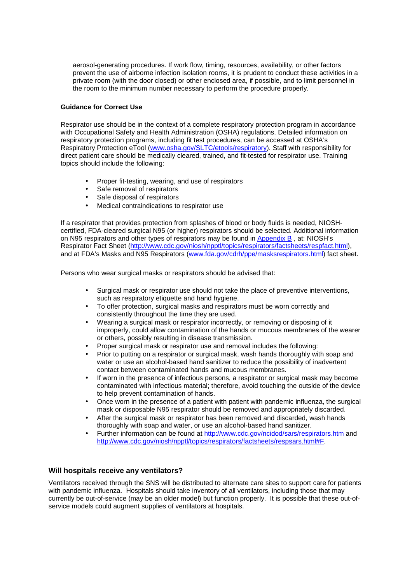aerosol-generating procedures. If work flow, timing, resources, availability, or other factors prevent the use of airborne infection isolation rooms, it is prudent to conduct these activities in a private room (with the door closed) or other enclosed area, if possible, and to limit personnel in the room to the minimum number necessary to perform the procedure properly.

### **Guidance for Correct Use**

Respirator use should be in the context of a complete respiratory protection program in accordance with Occupational Safety and Health Administration (OSHA) regulations. Detailed information on respiratory protection programs, including fit test procedures, can be accessed at OSHA's Respiratory Protection eTool (www.osha.gov/SLTC/etools/respiratory). Staff with responsibility for direct patient care should be medically cleared, trained, and fit-tested for respirator use. Training topics should include the following:

- Proper fit-testing, wearing, and use of respirators
- Safe removal of respirators
- Safe disposal of respirators
- Medical contraindications to respirator use

If a respirator that provides protection from splashes of blood or body fluids is needed, NIOSHcertified, FDA-cleared surgical N95 (or higher) respirators should be selected. Additional information on N95 respirators and other types of respirators may be found in Appendix B , at: NIOSH's Respirator Fact Sheet (http://www.cdc.gov/niosh/npptl/topics/respirators/factsheets/respfact.html), and at FDA's Masks and N95 Respirators (www.fda.gov/cdrh/ppe/masksrespirators.html) fact sheet.

Persons who wear surgical masks or respirators should be advised that:

- Surgical mask or respirator use should not take the place of preventive interventions, such as respiratory etiquette and hand hygiene.
- To offer protection, surgical masks and respirators must be worn correctly and consistently throughout the time they are used.
- Wearing a surgical mask or respirator incorrectly, or removing or disposing of it improperly, could allow contamination of the hands or mucous membranes of the wearer or others, possibly resulting in disease transmission.
- Proper surgical mask or respirator use and removal includes the following:
- Prior to putting on a respirator or surgical mask, wash hands thoroughly with soap and water or use an alcohol-based hand sanitizer to reduce the possibility of inadvertent contact between contaminated hands and mucous membranes.
- If worn in the presence of infectious persons, a respirator or surgical mask may become contaminated with infectious material; therefore, avoid touching the outside of the device to help prevent contamination of hands.
- Once worn in the presence of a patient with patient with pandemic influenza, the surgical mask or disposable N95 respirator should be removed and appropriately discarded.
- After the surgical mask or respirator has been removed and discarded, wash hands thoroughly with soap and water, or use an alcohol-based hand sanitizer.
- Further information can be found at http://www.cdc.gov/ncidod/sars/respirators.htm and http://www.cdc.gov/niosh/npptl/topics/respirators/factsheets/respsars.html#F.

# **Will hospitals receive any ventilators?**

Ventilators received through the SNS will be distributed to alternate care sites to support care for patients with pandemic influenza. Hospitals should take inventory of all ventilators, including those that may currently be out-of-service (may be an older model) but function properly. It is possible that these out-ofservice models could augment supplies of ventilators at hospitals.